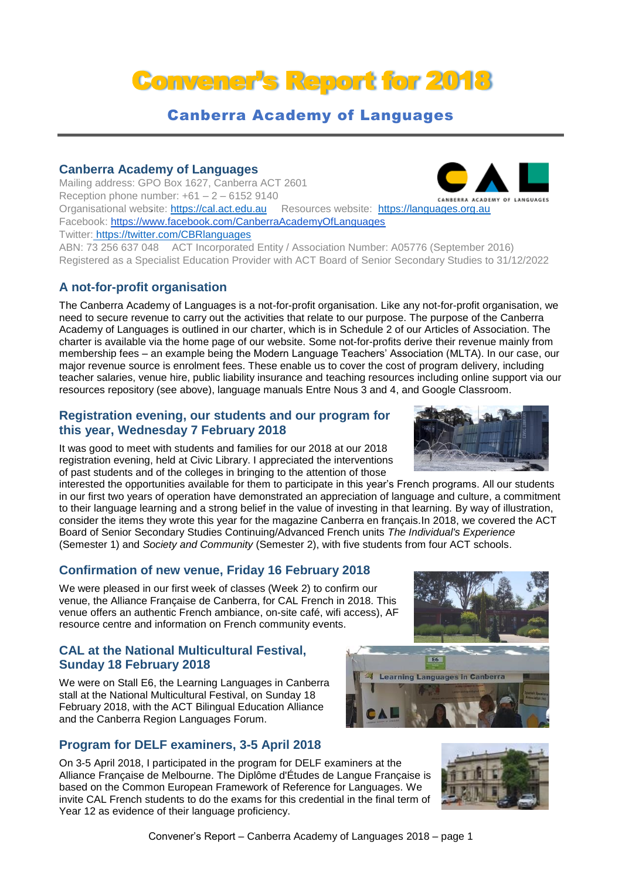# Convener's Report for 2018

# Canberra Academy of Languages

#### **Canberra Academy of Languages**

Mailing address: GPO Box 1627, Canberra ACT 2601 Reception phone number:  $+61 - 2 - 61529140$ Organisational website: [https://cal.act.edu.au](https://cal.act.edu.au/) Resources website: [https://languages.org.au](https://languages.org.au/) Facebook: https://www.facebook.com/CanberraAcademyOfLanguages Twitter: https://twitter.com/CBRlanguages

ABN: 73 256 637 048 ACT Incorporated Entity / Association Number: A05776 (September 2016) Registered as a Specialist Education Provider with ACT Board of Senior Secondary Studies to 31/12/2022

## **A not-for-profit organisation**

The Canberra Academy of Languages is a not-for-profit organisation. Like any not-for-profit organisation, we need to secure revenue to carry out the activities that relate to our purpose. The purpose of the Canberra Academy of Languages is outlined in our charter, which is in Schedule 2 of our Articles of Association. The charter is available via the home page of our website. Some not-for-profits derive their revenue mainly from membership fees – an example being the Modern Language Teachers' Association (MLTA). In our case, our major revenue source is enrolment fees. These enable us to cover the cost of program delivery, including teacher salaries, venue hire, public liability insurance and teaching resources including online support via our resources repository (see above), language manuals Entre Nous 3 and 4, and Google Classroom.

#### **Registration evening, our students and our program for this year, Wednesday 7 February 2018**

It was good to meet with students and families for our 2018 at our 2018 registration evening, held at Civic Library. I appreciated the interventions of past students and of the colleges in bringing to the attention of those

interested the opportunities available for them to participate in this year's French programs. All our students in our first two years of operation have demonstrated an appreciation of language and culture, a commitment to their language learning and a strong belief in the value of investing in that learning. By way of illustration, consider the items they wrote this year for the magazine Canberra en français.In 2018, we covered the ACT Board of Senior Secondary Studies Continuing/Advanced French units *The Individual's Experience* (Semester 1) and *Society and Community* (Semester 2), with five students from four ACT schools.

## **Confirmation of new venue, Friday 16 February 2018**

We were pleased in our first week of classes (Week 2) to confirm our venue, the Alliance Française de Canberra, for CAL French in 2018. This venue offers an authentic French ambiance, on-site café, wifi access), AF resource centre and information on French community events.

## **CAL at the National Multicultural Festival, Sunday 18 February 2018**

We were on Stall E6, the Learning Languages in Canberra stall at the National Multicultural Festival, on Sunday 18 February 2018, with the ACT Bilingual Education Alliance and the Canberra Region Languages Forum.

# **Program for DELF examiners, 3-5 April 2018**

On 3-5 April 2018, I participated in the program for DELF examiners at the Alliance Française de Melbourne. The Diplôme d'Études de Langue Française is based on the Common European Framework of Reference for Languages. We invite CAL French students to do the exams for this credential in the final term of Year 12 as evidence of their language proficiency.







![](_page_0_Picture_20.jpeg)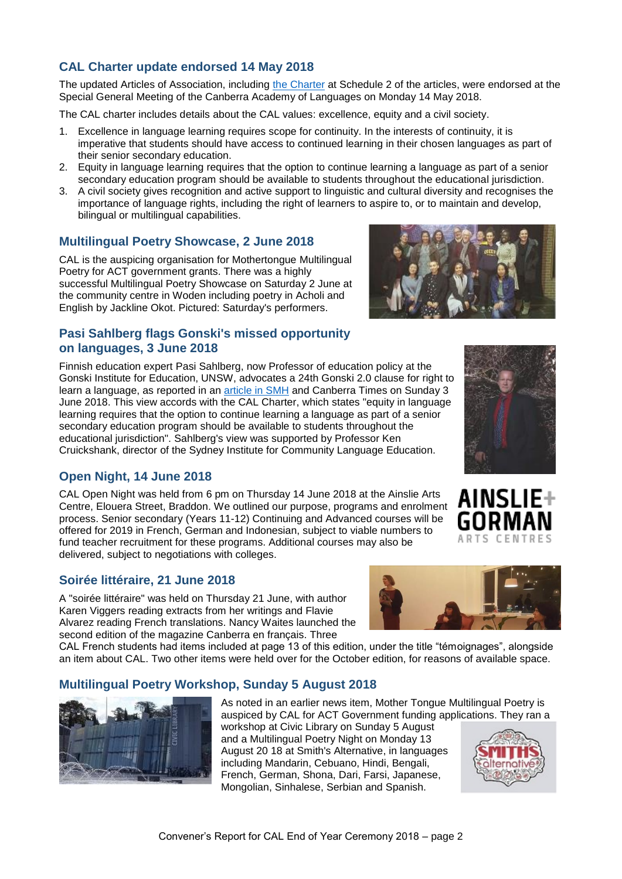Mongolian, Sinhalese, Serbian and Spanish.

# **CAL Charter update endorsed 14 May 2018**

The updated Articles of Association, including [the Charter](https://cal.act.edu.au/docs/CAL_Charter.pdf) at Schedule 2 of the articles, were endorsed at the Special General Meeting of the Canberra Academy of Languages on Monday 14 May 2018.

The CAL charter includes details about the CAL values: excellence, equity and a civil society.

- 1. Excellence in language learning requires scope for continuity. In the interests of continuity, it is imperative that students should have access to continued learning in their chosen languages as part of their senior secondary education.
- 2. Equity in language learning requires that the option to continue learning a language as part of a senior secondary education program should be available to students throughout the educational iurisdiction.
- 3. A civil society gives recognition and active support to linguistic and cultural diversity and recognises the importance of language rights, including the right of learners to aspire to, or to maintain and develop, bilingual or multilingual capabilities.

# **Multilingual Poetry Showcase, 2 June 2018**

CAL is the auspicing organisation for Mothertongue Multilingual Poetry for ACT government grants. There was a highly successful Multilingual Poetry Showcase on Saturday 2 June at the community centre in Woden including poetry in Acholi and English by Jackline Okot. Pictured: Saturday's performers.

# **Pasi Sahlberg flags Gonski's missed opportunity on languages, 3 June 2018**

Finnish education expert Pasi Sahlberg, now Professor of education policy at the Gonski Institute for Education, UNSW, advocates a 24th Gonski 2.0 clause for right to learn a language, as reported in an [article in SMH](https://www.smh.com.au/education/gonski-s-missed-opportunity-on-languages-20180601-p4zix3.html) and Canberra Times on Sunday 3 June 2018. This view accords with the CAL Charter, which states "equity in language learning requires that the option to continue learning a language as part of a senior secondary education program should be available to students throughout the educational jurisdiction". Sahlberg's view was supported by Professor Ken Cruickshank, director of the Sydney Institute for Community Language Education.

# **Open Night, 14 June 2018**

CAL Open Night was held from 6 pm on Thursday 14 June 2018 at the Ainslie Arts Centre, Elouera Street, Braddon. We outlined our purpose, programs and enrolment process. Senior secondary (Years 11-12) Continuing and Advanced courses will be offered for 2019 in French, German and Indonesian, subject to viable numbers to fund teacher recruitment for these programs. Additional courses may also be delivered, subject to negotiations with colleges.

# **Soirée littéraire, 21 June 2018**

A "soirée littéraire" was held on Thursday 21 June, with author Karen Viggers reading extracts from her writings and Flavie Alvarez reading French translations. Nancy Waites launched the second edition of the magazine Canberra en français. Three

CAL French students had items included at page 13 of this edition, under the title "témoignages", alongside an item about CAL. Two other items were held over for the October edition, for reasons of available space.

# **Multilingual Poetry Workshop, Sunday 5 August 2018**

As noted in an earlier news item, Mother Tongue Multilingual Poetry is auspiced by CAL for ACT Government funding applications. They ran a workshop at Civic Library on Sunday 5 August and a Multilingual Poetry Night on Monday 13 August 20 18 at Smith's Alternative, in languages including Mandarin, Cebuano, Hindi, Bengali, French, German, Shona, Dari, Farsi, Japanese,

![](_page_1_Picture_18.jpeg)

![](_page_1_Picture_19.jpeg)

![](_page_1_Picture_20.jpeg)

![](_page_1_Picture_21.jpeg)

![](_page_1_Picture_22.jpeg)

AINSLI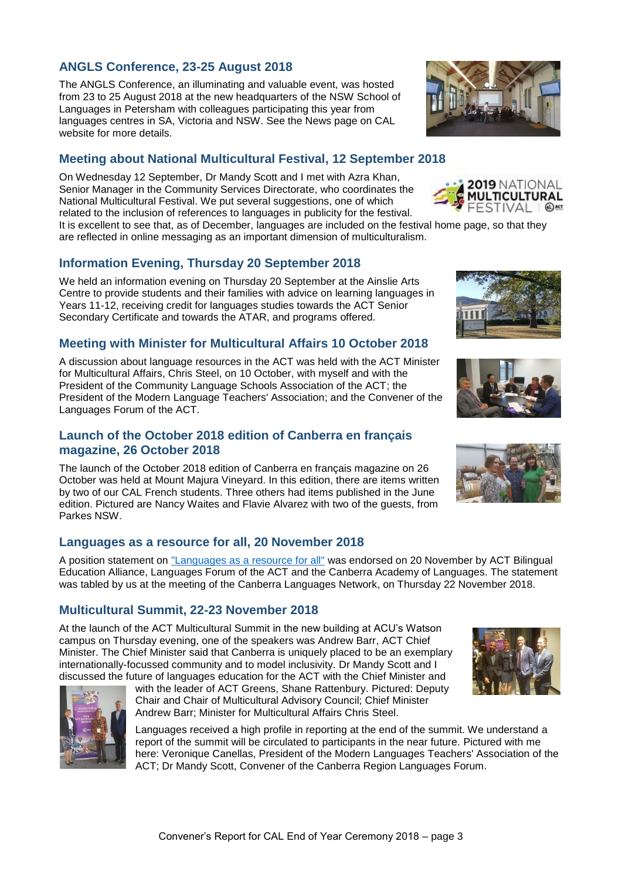## **ANGLS Conference, 23-25 August 2018**

The ANGLS Conference, an illuminating and valuable event, was hosted from 23 to 25 August 2018 at the new headquarters of the NSW School of Languages in Petersham with colleagues participating this year from languages centres in SA, Victoria and NSW. See the News page on CAL website for more details.

## **Meeting about National Multicultural Festival, 12 September 2018**

On Wednesday 12 September, Dr Mandy Scott and I met with Azra Khan, Senior Manager in the Community Services Directorate, who coordinates the National Multicultural Festival. We put several suggestions, one of which related to the inclusion of references to languages in publicity for the festival.

It is excellent to see that, as of December, languages are included on the festival home page, so that they are reflected in online messaging as an important dimension of multiculturalism.

#### **Information Evening, Thursday 20 September 2018**

We held an information evening on Thursday 20 September at the Ainslie Arts Centre to provide students and their families with advice on learning languages in Years 11-12, receiving credit for languages studies towards the ACT Senior Secondary Certificate and towards the ATAR, and programs offered.

#### **Meeting with Minister for Multicultural Affairs 10 October 2018**

A discussion about language resources in the ACT was held with the ACT Minister for Multicultural Affairs, Chris Steel, on 10 October, with myself and with the President of the Community Language Schools Association of the ACT; the President of the Modern Language Teachers' Association; and the Convener of the Languages Forum of the ACT.

#### **Launch of the October 2018 edition of Canberra en français magazine, 26 October 2018**

The launch of the October 2018 edition of Canberra en français magazine on 26 October was held at Mount Majura Vineyard. In this edition, there are items written by two of our CAL French students. Three others had items published in the June edition. Pictured are Nancy Waites and Flavie Alvarez with two of the guests, from Parkes NSW.

#### **Languages as a resource for all, 20 November 2018**

A position statement on ["Languages as a resource for all"](https://cal.act.edu.au/docs/Languages_as_a_resource_for_all_20181120.pdf) was endorsed on 20 November by ACT Bilingual Education Alliance, Languages Forum of the ACT and the Canberra Academy of Languages. The statement was tabled by us at the meeting of the Canberra Languages Network, on Thursday 22 November 2018.

#### **Multicultural Summit, 22-23 November 2018**

At the launch of the ACT Multicultural Summit in the new building at ACU's Watson campus on Thursday evening, one of the speakers was Andrew Barr, ACT Chief Minister. The Chief Minister said that Canberra is uniquely placed to be an exemplary internationally-focussed community and to model inclusivity. Dr Mandy Scott and I discussed the future of languages education for the ACT with the Chief Minister and

with the leader of ACT Greens, Shane Rattenbury. Pictured: Deputy Chair and Chair of Multicultural Advisory Council; Chief Minister

Languages received a high profile in reporting at the end of the summit. We understand a report of the summit will be circulated to participants in the near future. Pictured with me here: Veronique Canellas, President of the Modern Languages Teachers' Association of the ACT; Dr Mandy Scott, Convener of the Canberra Region Languages Forum.

![](_page_2_Picture_17.jpeg)

![](_page_2_Picture_18.jpeg)

2019 NATIONAL **MULTICULTURAL** FESTIVAL I ®<del>M</del>

![](_page_2_Picture_19.jpeg)

![](_page_2_Picture_20.jpeg)

![](_page_2_Picture_21.jpeg)

![](_page_2_Picture_23.jpeg)

![](_page_2_Picture_24.jpeg)